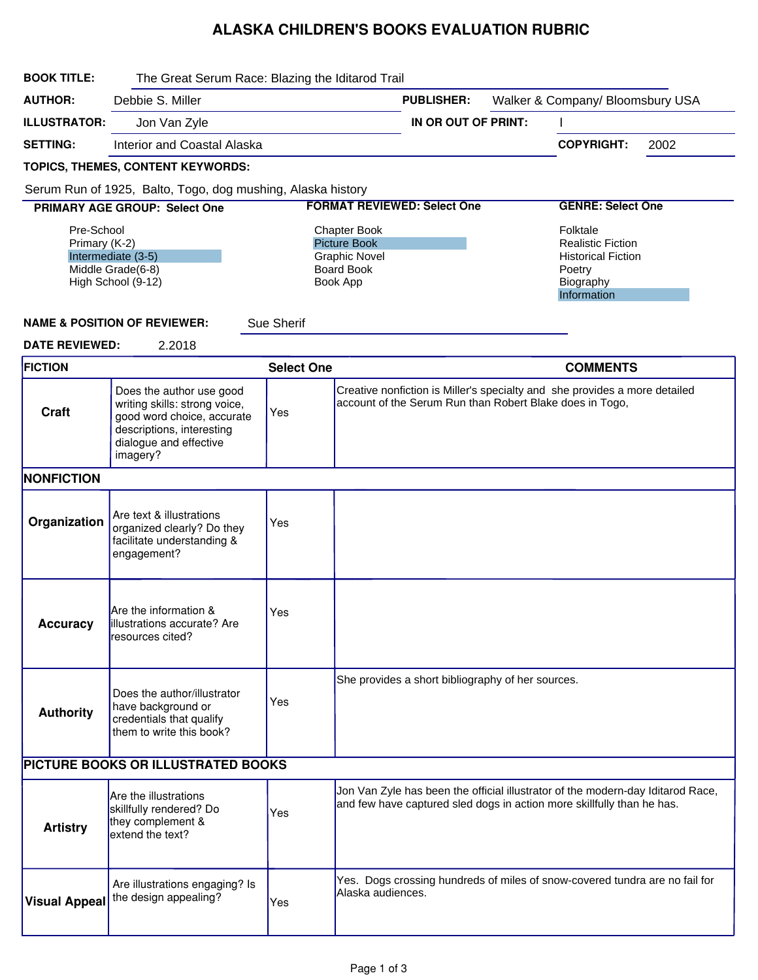## ALASKA CHILDREN'S BOOKS EVALUATION RUBRIC

| <b>BOOK TITLE:</b>                                                                           | The Great Serum Race: Blazing the Iditarod Trail                                                                                                           |                                                                                                     |                                                       |                                                          |  |                                                                                                                                                           |      |  |  |
|----------------------------------------------------------------------------------------------|------------------------------------------------------------------------------------------------------------------------------------------------------------|-----------------------------------------------------------------------------------------------------|-------------------------------------------------------|----------------------------------------------------------|--|-----------------------------------------------------------------------------------------------------------------------------------------------------------|------|--|--|
| <b>AUTHOR:</b>                                                                               | Debbie S. Miller                                                                                                                                           |                                                                                                     | Walker & Company/ Bloomsbury USA<br><b>PUBLISHER:</b> |                                                          |  |                                                                                                                                                           |      |  |  |
| <b>ILLUSTRATOR:</b>                                                                          | Jon Van Zyle                                                                                                                                               |                                                                                                     | IN OR OUT OF PRINT:                                   |                                                          |  |                                                                                                                                                           |      |  |  |
| <b>SETTING:</b>                                                                              | <b>Interior and Coastal Alaska</b>                                                                                                                         |                                                                                                     |                                                       |                                                          |  | <b>COPYRIGHT:</b>                                                                                                                                         | 2002 |  |  |
|                                                                                              | TOPICS, THEMES, CONTENT KEYWORDS:                                                                                                                          |                                                                                                     |                                                       |                                                          |  |                                                                                                                                                           |      |  |  |
| Serum Run of 1925, Balto, Togo, dog mushing, Alaska history                                  |                                                                                                                                                            |                                                                                                     |                                                       |                                                          |  |                                                                                                                                                           |      |  |  |
|                                                                                              | <b>PRIMARY AGE GROUP: Select One</b>                                                                                                                       |                                                                                                     |                                                       | <b>FORMAT REVIEWED: Select One</b>                       |  | <b>GENRE: Select One</b>                                                                                                                                  |      |  |  |
| Pre-School<br>Primary (K-2)<br>Intermediate (3-5)<br>Middle Grade(6-8)<br>High School (9-12) |                                                                                                                                                            | <b>Chapter Book</b><br><b>Picture Book</b><br><b>Graphic Novel</b><br><b>Board Book</b><br>Book App |                                                       |                                                          |  | Folktale<br><b>Realistic Fiction</b><br><b>Historical Fiction</b><br>Poetry<br>Biography<br>Information                                                   |      |  |  |
|                                                                                              | <b>NAME &amp; POSITION OF REVIEWER:</b>                                                                                                                    | Sue Sherif                                                                                          |                                                       |                                                          |  |                                                                                                                                                           |      |  |  |
| <b>DATE REVIEWED:</b><br>2.2018                                                              |                                                                                                                                                            |                                                                                                     |                                                       |                                                          |  |                                                                                                                                                           |      |  |  |
| <b>FICTION</b>                                                                               |                                                                                                                                                            | <b>Select One</b>                                                                                   |                                                       |                                                          |  | <b>COMMENTS</b>                                                                                                                                           |      |  |  |
| <b>Craft</b>                                                                                 | Does the author use good<br>writing skills: strong voice,<br>good word choice, accurate<br>descriptions, interesting<br>dialogue and effective<br>imagery? | Yes                                                                                                 |                                                       | account of the Serum Run than Robert Blake does in Togo, |  | Creative nonfiction is Miller's specialty and she provides a more detailed                                                                                |      |  |  |
| <b>NONFICTION</b>                                                                            |                                                                                                                                                            |                                                                                                     |                                                       |                                                          |  |                                                                                                                                                           |      |  |  |
| Organization                                                                                 | Are text & illustrations<br>organized clearly? Do they<br>facilitate understanding &<br>engagement?                                                        | Yes                                                                                                 |                                                       |                                                          |  |                                                                                                                                                           |      |  |  |
| <b>Accuracy</b>                                                                              | Are the information &<br>lillustrations accurate? Are<br>resources cited?                                                                                  | Yes                                                                                                 |                                                       |                                                          |  |                                                                                                                                                           |      |  |  |
| <b>Authority</b>                                                                             | Does the author/illustrator<br>have background or<br>credentials that qualify<br>them to write this book?                                                  | Yes                                                                                                 |                                                       | She provides a short bibliography of her sources.        |  |                                                                                                                                                           |      |  |  |
|                                                                                              | PICTURE BOOKS OR ILLUSTRATED BOOKS                                                                                                                         |                                                                                                     |                                                       |                                                          |  |                                                                                                                                                           |      |  |  |
| <b>Artistry</b>                                                                              | <b>Are the illustrations</b><br>skillfully rendered? Do<br>they complement &<br>extend the text?                                                           | Yes                                                                                                 |                                                       |                                                          |  | Jon Van Zyle has been the official illustrator of the modern-day Iditarod Race,<br>and few have captured sled dogs in action more skillfully than he has. |      |  |  |
| <b>Visual Appeal</b>                                                                         | Are illustrations engaging? Is<br>the design appealing?                                                                                                    | Yes                                                                                                 | Alaska audiences.                                     |                                                          |  | Yes. Dogs crossing hundreds of miles of snow-covered tundra are no fail for                                                                               |      |  |  |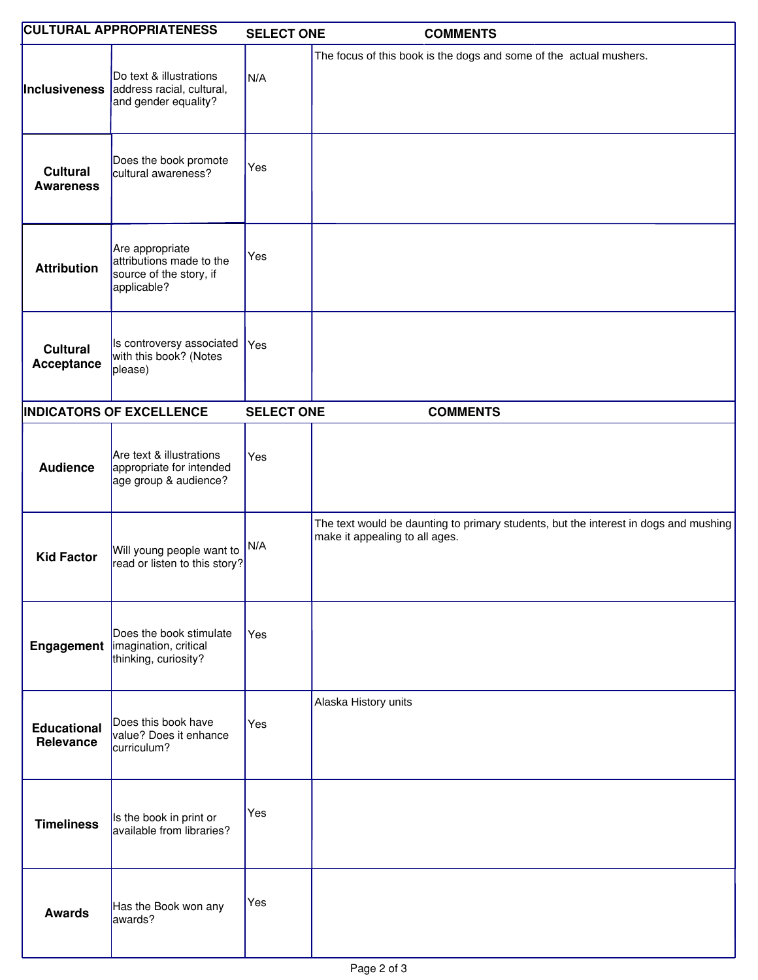| <b>CULTURAL APPROPRIATENESS</b>     |                                                                                                   | <b>SELECT ONE</b> | <b>COMMENTS</b>                                                                                                        |
|-------------------------------------|---------------------------------------------------------------------------------------------------|-------------------|------------------------------------------------------------------------------------------------------------------------|
|                                     | Do text & illustrations<br><b>Inclusiveness</b> address racial, cultural,<br>and gender equality? | N/A               | The focus of this book is the dogs and some of the actual mushers.                                                     |
| <b>Cultural</b><br><b>Awareness</b> | Does the book promote<br>cultural awareness?                                                      | Yes               |                                                                                                                        |
| <b>Attribution</b>                  | Are appropriate<br>attributions made to the<br>source of the story, if<br>applicable?             | Yes               |                                                                                                                        |
| <b>Cultural</b><br>Acceptance       | Is controversy associated<br>with this book? (Notes<br>please)                                    | Yes               |                                                                                                                        |
| <b>INDICATORS OF EXCELLENCE</b>     |                                                                                                   | <b>SELECT ONE</b> | <b>COMMENTS</b>                                                                                                        |
| <b>Audience</b>                     | Are text & illustrations<br>appropriate for intended<br>age group & audience?                     | Yes               |                                                                                                                        |
| <b>Kid Factor</b>                   | Will young people want to<br>read or listen to this story?                                        | N/A               | The text would be daunting to primary students, but the interest in dogs and mushing<br>make it appealing to all ages. |
|                                     | Does the book stimulate<br><b>Engagement</b>   imagination, critical<br>thinking, curiosity?      | Yes               |                                                                                                                        |
| <b>Educational</b><br>Relevance     | Does this book have<br>value? Does it enhance<br>curriculum?                                      | Yes               | Alaska History units                                                                                                   |
| <b>Timeliness</b>                   | Is the book in print or<br>available from libraries?                                              | Yes               |                                                                                                                        |
| <b>Awards</b>                       | Has the Book won any<br>awards?                                                                   | Yes               |                                                                                                                        |